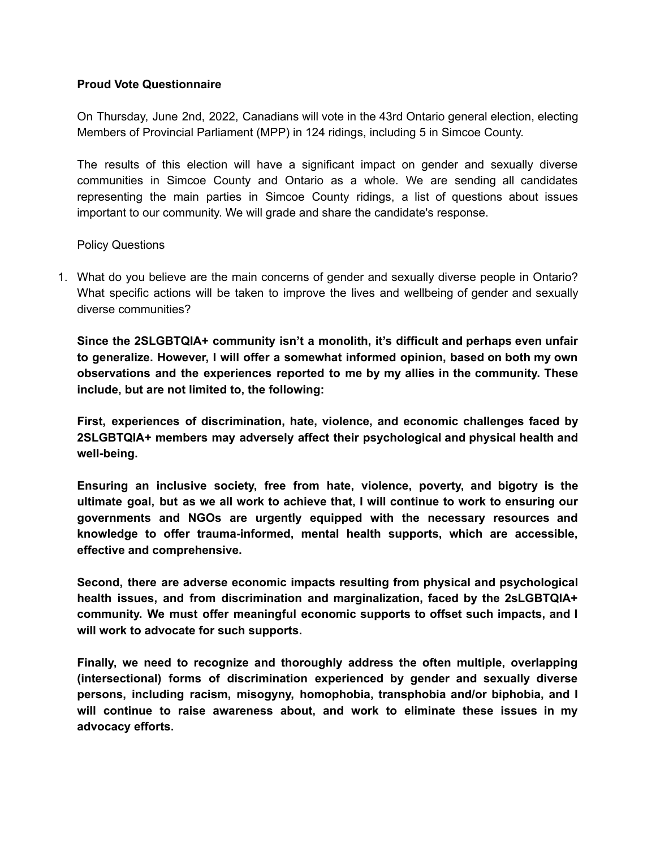## **Proud Vote Questionnaire**

On Thursday, June 2nd, 2022, Canadians will vote in the 43rd Ontario general election, electing Members of Provincial Parliament (MPP) in 124 ridings, including 5 in Simcoe County.

The results of this election will have a significant impact on gender and sexually diverse communities in Simcoe County and Ontario as a whole. We are sending all candidates representing the main parties in Simcoe County ridings, a list of questions about issues important to our community. We will grade and share the candidate's response.

## Policy Questions

1. What do you believe are the main concerns of gender and sexually diverse people in Ontario? What specific actions will be taken to improve the lives and wellbeing of gender and sexually diverse communities?

**Since the 2SLGBTQIA+ community isn't a monolith, it's difficult and perhaps even unfair to generalize. However, I will offer a somewhat informed opinion, based on both my own observations and the experiences reported to me by my allies in the community. These include, but are not limited to, the following:**

**First, experiences of discrimination, hate, violence, and economic challenges faced by 2SLGBTQIA+ members may adversely affect their psychological and physical health and well-being.**

**Ensuring an inclusive society, free from hate, violence, poverty, and bigotry is the ultimate goal, but as we all work to achieve that, I will continue to work to ensuring our governments and NGOs are urgently equipped with the necessary resources and knowledge to offer trauma-informed, mental health supports, which are accessible, effective and comprehensive.**

**Second, there are adverse economic impacts resulting from physical and psychological health issues, and from discrimination and marginalization, faced by the 2sLGBTQIA+ community. We must offer meaningful economic supports to offset such impacts, and I will work to advocate for such supports.**

**Finally, we need to recognize and thoroughly address the often multiple, overlapping (intersectional) forms of discrimination experienced by gender and sexually diverse persons, including racism, misogyny, homophobia, transphobia and/or biphobia, and I will continue to raise awareness about, and work to eliminate these issues in my advocacy efforts.**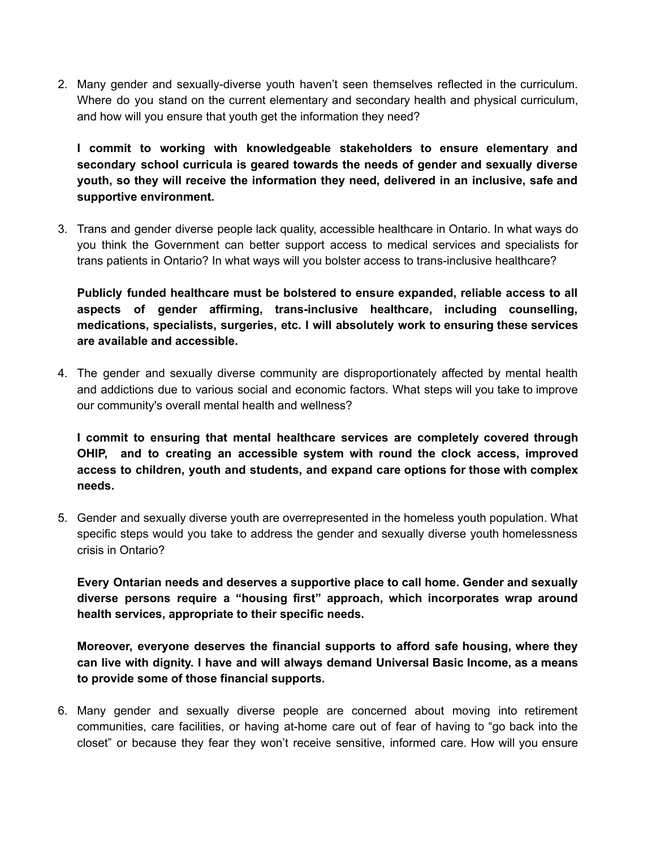2. Many gender and sexually-diverse youth haven't seen themselves reflected in the curriculum. Where do you stand on the current elementary and secondary health and physical curriculum, and how will you ensure that youth get the information they need?

**I commit to working with knowledgeable stakeholders to ensure elementary and secondary school curricula is geared towards the needs of gender and sexually diverse youth, so they will receive the information they need, delivered in an inclusive, safe and supportive environment.**

3. Trans and gender diverse people lack quality, accessible healthcare in Ontario. In what ways do you think the Government can better support access to medical services and specialists for trans patients in Ontario? In what ways will you bolster access to trans-inclusive healthcare?

**Publicly funded healthcare must be bolstered to ensure expanded, reliable access to all aspects of gender affirming, trans-inclusive healthcare, including counselling, medications, specialists, surgeries, etc. I will absolutely work to ensuring these services are available and accessible.**

4. The gender and sexually diverse community are disproportionately affected by mental health and addictions due to various social and economic factors. What steps will you take to improve our community's overall mental health and wellness?

**I commit to ensuring that mental healthcare services are completely covered through OHIP, and to creating an accessible system with round the clock access, improved access to children, youth and students, and expand care options for those with complex needs.**

5. Gender and sexually diverse youth are overrepresented in the homeless youth population. What specific steps would you take to address the gender and sexually diverse youth homelessness crisis in Ontario?

**Every Ontarian needs and deserves a supportive place to call home. Gender and sexually diverse persons require a "housing first" approach, which incorporates wrap around health services, appropriate to their specific needs.**

**Moreover, everyone deserves the financial supports to afford safe housing, where they can live with dignity. I have and will always demand Universal Basic Income, as a means to provide some of those financial supports.**

6. Many gender and sexually diverse people are concerned about moving into retirement communities, care facilities, or having at-home care out of fear of having to "go back into the closet" or because they fear they won't receive sensitive, informed care. How will you ensure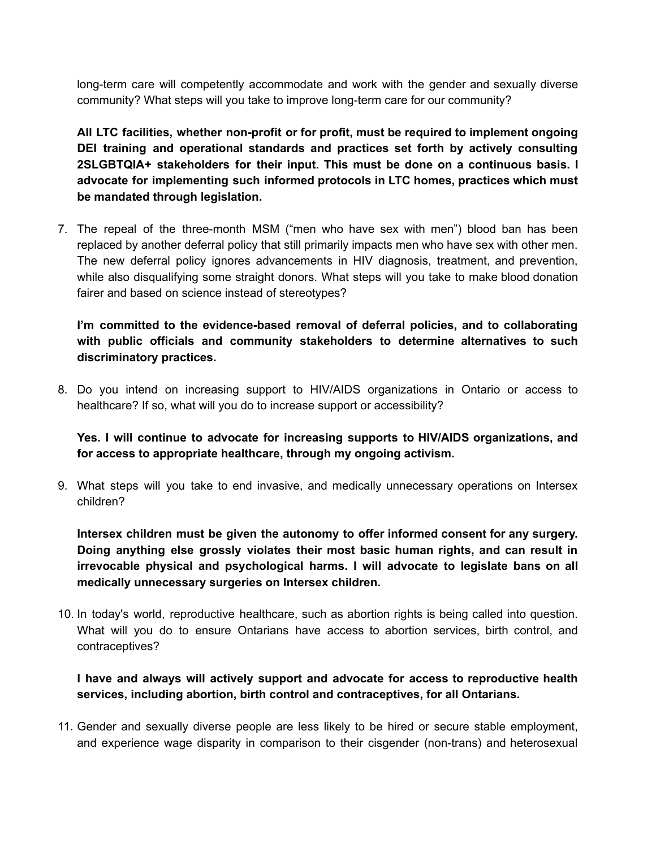long-term care will competently accommodate and work with the gender and sexually diverse community? What steps will you take to improve long-term care for our community?

**All LTC facilities, whether non-profit or for profit, must be required to implement ongoing DEI training and operational standards and practices set forth by actively consulting 2SLGBTQIA+ stakeholders for their input. This must be done on a continuous basis. I advocate for implementing such informed protocols in LTC homes, practices which must be mandated through legislation.**

7. The repeal of the three-month MSM ("men who have sex with men") blood ban has been replaced by another deferral policy that still primarily impacts men who have sex with other men. The new deferral policy ignores advancements in HIV diagnosis, treatment, and prevention, while also disqualifying some straight donors. What steps will you take to make blood donation fairer and based on science instead of stereotypes?

**I'm committed to the evidence-based removal of deferral policies, and to collaborating with public officials and community stakeholders to determine alternatives to such discriminatory practices.**

8. Do you intend on increasing support to HIV/AIDS organizations in Ontario or access to healthcare? If so, what will you do to increase support or accessibility?

**Yes. I will continue to advocate for increasing supports to HIV/AIDS organizations, and for access to appropriate healthcare, through my ongoing activism.**

9. What steps will you take to end invasive, and medically unnecessary operations on Intersex children?

**Intersex children must be given the autonomy to offer informed consent for any surgery. Doing anything else grossly violates their most basic human rights, and can result in irrevocable physical and psychological harms. I will advocate to legislate bans on all medically unnecessary surgeries on Intersex children.**

10. In today's world, reproductive healthcare, such as abortion rights is being called into question. What will you do to ensure Ontarians have access to abortion services, birth control, and contraceptives?

**I have and always will actively support and advocate for access to reproductive health services, including abortion, birth control and contraceptives, for all Ontarians.**

11. Gender and sexually diverse people are less likely to be hired or secure stable employment, and experience wage disparity in comparison to their cisgender (non-trans) and heterosexual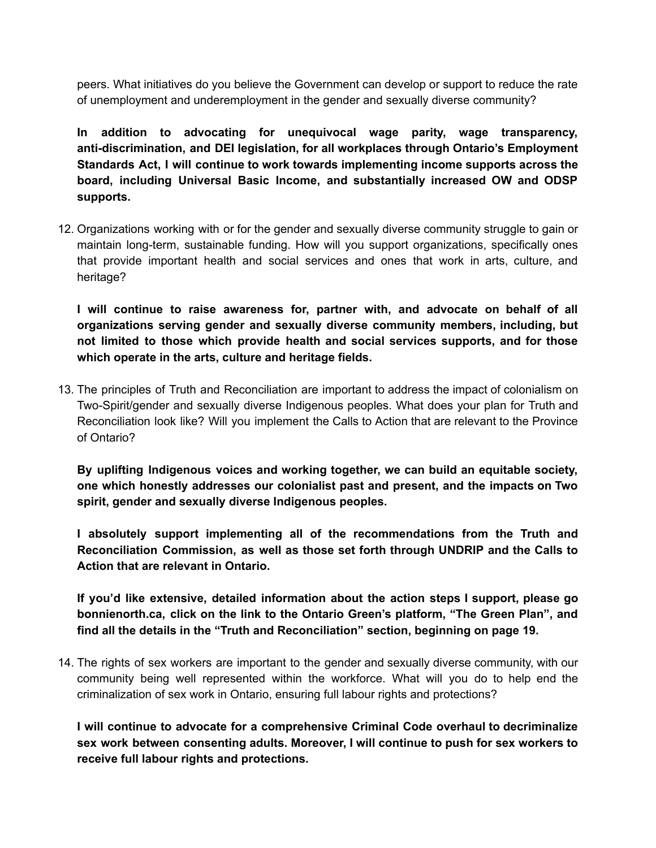peers. What initiatives do you believe the Government can develop or support to reduce the rate of unemployment and underemployment in the gender and sexually diverse community?

**In addition to advocating for unequivocal wage parity, wage transparency, anti-discrimination, and DEI legislation, for all workplaces through Ontario's Employment Standards Act, I will continue to work towards implementing income supports across the board, including Universal Basic Income, and substantially increased OW and ODSP supports.**

12. Organizations working with or for the gender and sexually diverse community struggle to gain or maintain long-term, sustainable funding. How will you support organizations, specifically ones that provide important health and social services and ones that work in arts, culture, and heritage?

**I will continue to raise awareness for, partner with, and advocate on behalf of all organizations serving gender and sexually diverse community members, including, but not limited to those which provide health and social services supports, and for those which operate in the arts, culture and heritage fields.**

13. The principles of Truth and Reconciliation are important to address the impact of colonialism on Two-Spirit/gender and sexually diverse Indigenous peoples. What does your plan for Truth and Reconciliation look like? Will you implement the Calls to Action that are relevant to the Province of Ontario?

**By uplifting Indigenous voices and working together, we can build an equitable society, one which honestly addresses our colonialist past and present, and the impacts on Two spirit, gender and sexually diverse Indigenous peoples.**

**I absolutely support implementing all of the recommendations from the Truth and Reconciliation Commission, as well as those set forth through UNDRIP and the Calls to Action that are relevant in Ontario.**

**If you'd like extensive, detailed information about the action steps I support, please go bonnienorth.ca, click on the link to the Ontario Green's platform, "The Green Plan", and find all the details in the "Truth and Reconciliation" section, beginning on page 19.**

14. The rights of sex workers are important to the gender and sexually diverse community, with our community being well represented within the workforce. What will you do to help end the criminalization of sex work in Ontario, ensuring full labour rights and protections?

**I will continue to advocate for a comprehensive Criminal Code overhaul to decriminalize sex work between consenting adults. Moreover, I will continue to push for sex workers to receive full labour rights and protections.**